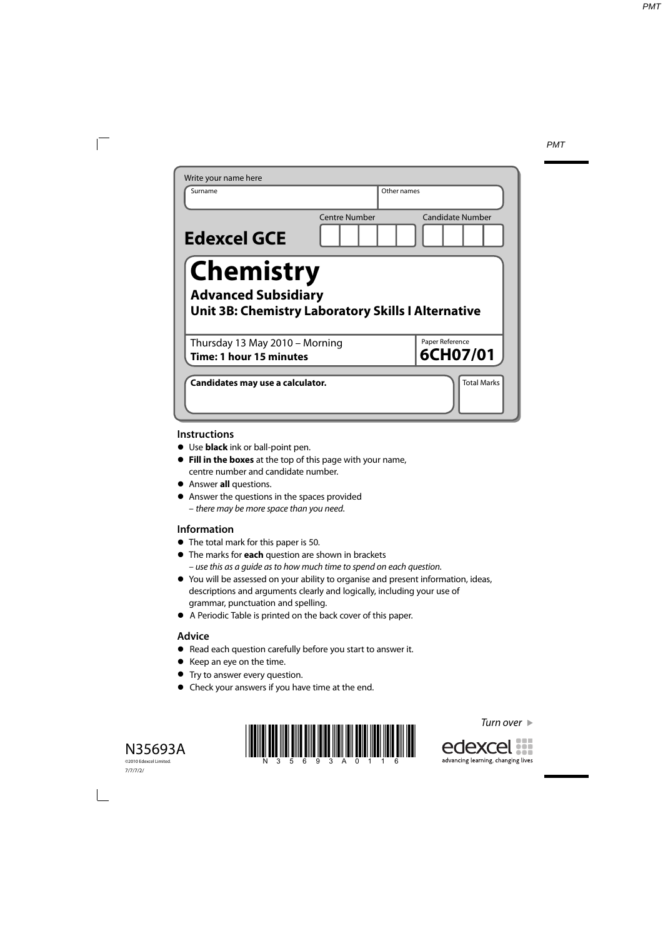*PMT*

| Write your name here                                                                                        |                      |                             |  |  |
|-------------------------------------------------------------------------------------------------------------|----------------------|-----------------------------|--|--|
| Surname                                                                                                     |                      | Other names                 |  |  |
| <b>Edexcel GCE</b>                                                                                          | <b>Centre Number</b> | <b>Candidate Number</b>     |  |  |
| <b>Chemistry</b><br><b>Advanced Subsidiary</b><br><b>Unit 3B: Chemistry Laboratory Skills I Alternative</b> |                      |                             |  |  |
|                                                                                                             |                      |                             |  |  |
| Thursday 13 May 2010 - Morning<br><b>Time: 1 hour 15 minutes</b>                                            |                      | Paper Reference<br>6CH07/01 |  |  |

## **Instructions**

- **•** Use **black** ink or ball-point pen.
- **• Fill in the boxes** at the top of this page with your name, centre number and candidate number.
- **•** Answer **all** questions.
- **•** Answer the questions in the spaces provided – there may be more space than you need.

# **Information**

- **•** The total mark for this paper is 50.
- **•** The marks for **each** question are shown in brackets – use this as a guide as to how much time to spend on each question.
- **•** You will be assessed on your ability to organise and present information, ideas, descriptions and arguments clearly and logically, including your use of grammar, punctuation and spelling.
- **•** A Periodic Table is printed on the back cover of this paper.

# **Advice**

- **•** Read each question carefully before you start to answer it.
- **•** Keep an eye on the time.
- **•** Try to answer every question.
- **•** Check your answers if you have time at the end.





Turn over  $\blacktriangleright$ 

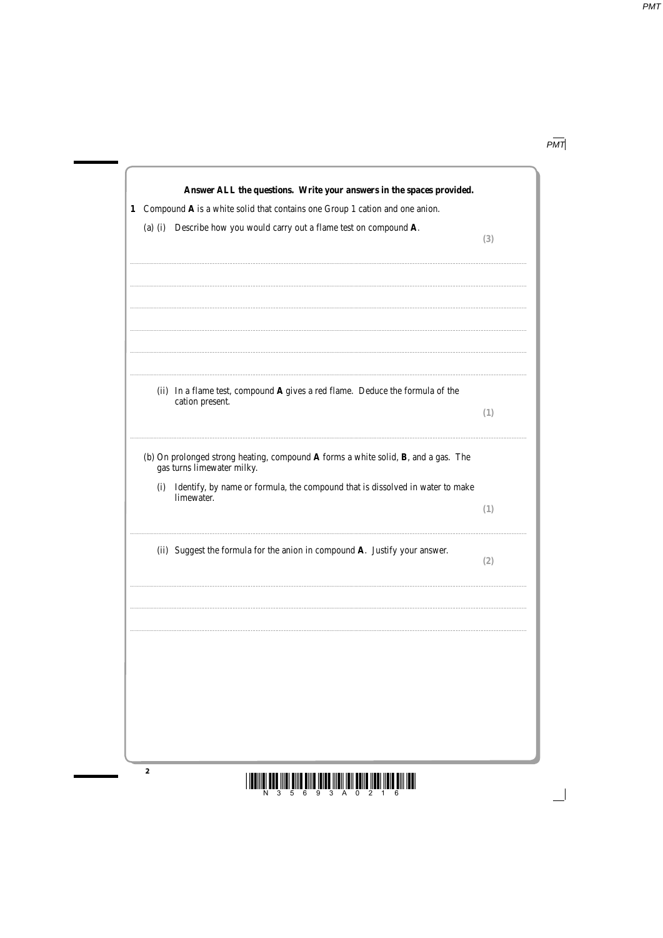|              | Compound A is a white solid that contains one Group 1 cation and one anion.                                      |     |
|--------------|------------------------------------------------------------------------------------------------------------------|-----|
| $(a)$ $(i)$  | Describe how you would carry out a flame test on compound A.                                                     | (3) |
|              |                                                                                                                  |     |
|              |                                                                                                                  |     |
|              |                                                                                                                  |     |
|              | (ii) In a flame test, compound A gives a red flame. Deduce the formula of the<br>cation present.                 | (1) |
|              |                                                                                                                  |     |
|              | (b) On prolonged strong heating, compound A forms a white solid, B, and a gas. The<br>gas turns limewater milky. |     |
| (i)          | Identify, by name or formula, the compound that is dissolved in water to make<br>limewater.                      | (1) |
|              |                                                                                                                  |     |
|              | (ii) Suggest the formula for the anion in compound A. Justify your answer.                                       | (2) |
|              |                                                                                                                  |     |
|              |                                                                                                                  |     |
|              |                                                                                                                  |     |
|              |                                                                                                                  |     |
|              |                                                                                                                  |     |
| $\mathbf{2}$ | <u> II (IIII DIIII DIIII QITTE IIIII) IBII DUIT (ISBI IIIII DIII IBBI</u>                                        |     |

 $\sqrt{2}$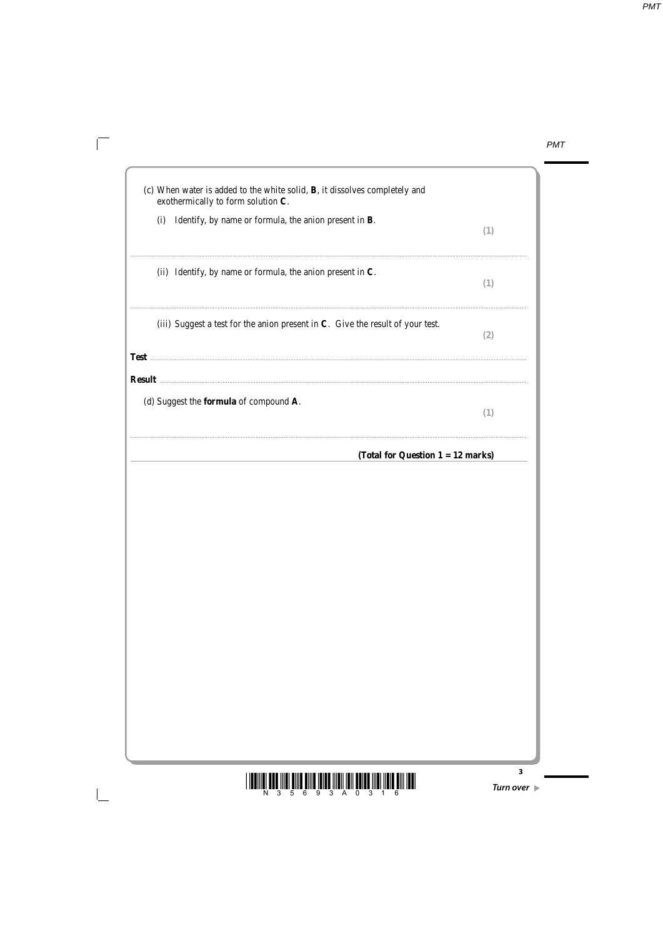| (c) When water is added to the white solid, <b>B</b> , it dissolves completely and<br>exothermically to form solution C. |     |
|--------------------------------------------------------------------------------------------------------------------------|-----|
| Identify, by name or formula, the anion present in <b>B</b> .<br>(i)                                                     | (1) |
| (ii) Identify, by name or formula, the anion present in $C$ .                                                            | (1) |
| (iii) Suggest a test for the anion present in C. Give the result of your test.                                           | (2) |
| <b>Result</b>                                                                                                            |     |
| (d) Suggest the formula of compound A.                                                                                   | (1) |
| (Total for Question $1 = 12$ marks)                                                                                      |     |
|                                                                                                                          |     |
|                                                                                                                          |     |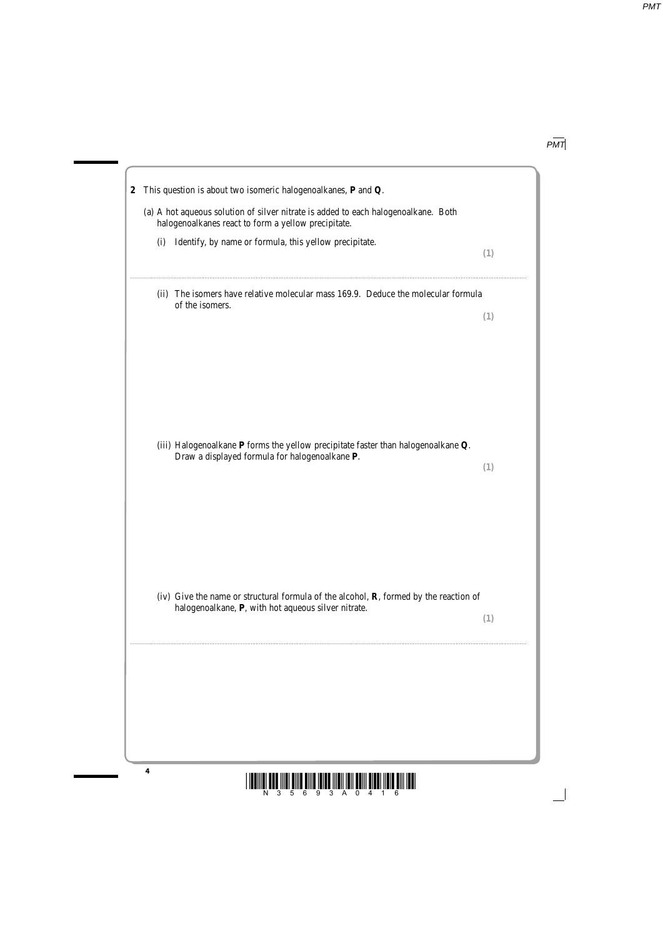|     | (a) A hot aqueous solution of silver nitrate is added to each halogenoalkane. Both<br>halogenoalkanes react to form a yellow precipitate. |     |
|-----|-------------------------------------------------------------------------------------------------------------------------------------------|-----|
| (i) | Identify, by name or formula, this yellow precipitate.                                                                                    | (1) |
|     | (ii) The isomers have relative molecular mass 169.9. Deduce the molecular formula<br>of the isomers.                                      |     |
|     |                                                                                                                                           | (1) |
|     |                                                                                                                                           |     |
|     |                                                                                                                                           |     |
|     |                                                                                                                                           |     |
|     | (iii) Halogenoalkane P forms the yellow precipitate faster than halogenoalkane Q.<br>Draw a displayed formula for halogenoalkane P.       | (1) |
|     |                                                                                                                                           |     |
|     |                                                                                                                                           |     |
|     |                                                                                                                                           |     |
|     | (iv) Give the name or structural formula of the alcohol, $\bf{R}$ , formed by the reaction of                                             |     |
|     | halogenoalkane, P, with hot aqueous silver nitrate.                                                                                       | (1) |
|     |                                                                                                                                           |     |
|     |                                                                                                                                           |     |
|     |                                                                                                                                           |     |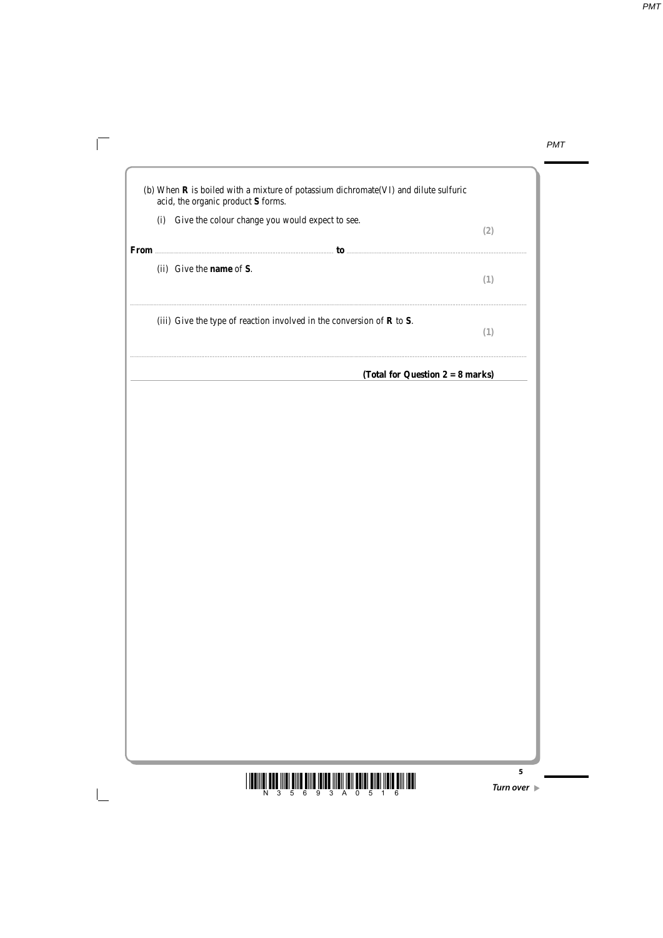|     | (Total for Question $2 = 8$ marks)                                                   |     |
|-----|--------------------------------------------------------------------------------------|-----|
|     | (iii) Give the type of reaction involved in the conversion of $\bf{R}$ to $\bf{S}$ . | (1) |
|     | (ii) Give the <b>name</b> of <b>S</b> .                                              | (1) |
|     |                                                                                      | (2) |
| (i) | Give the colour change you would expect to see.                                      |     |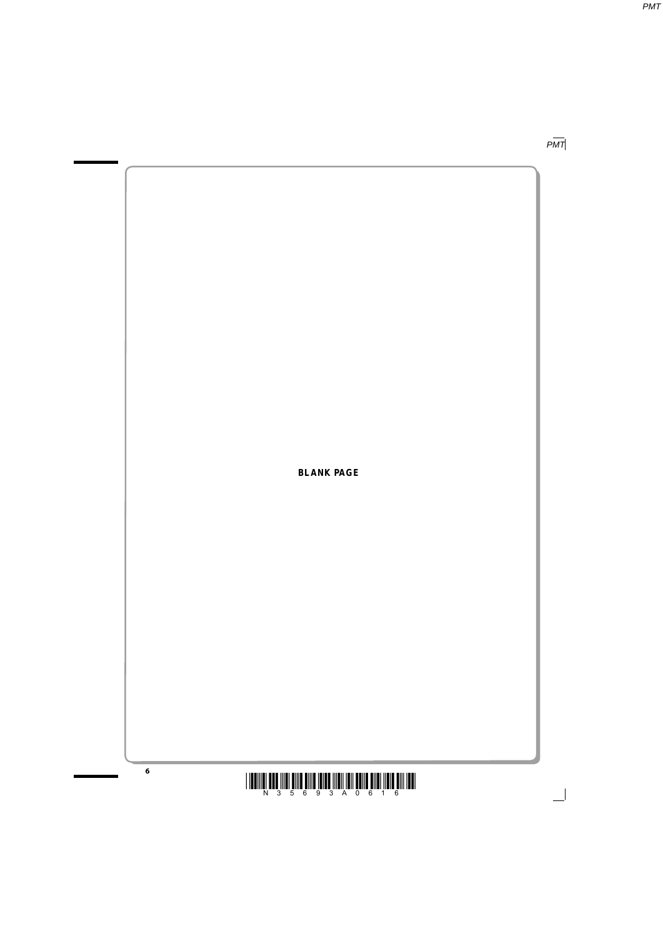**BLANK PAGE** 

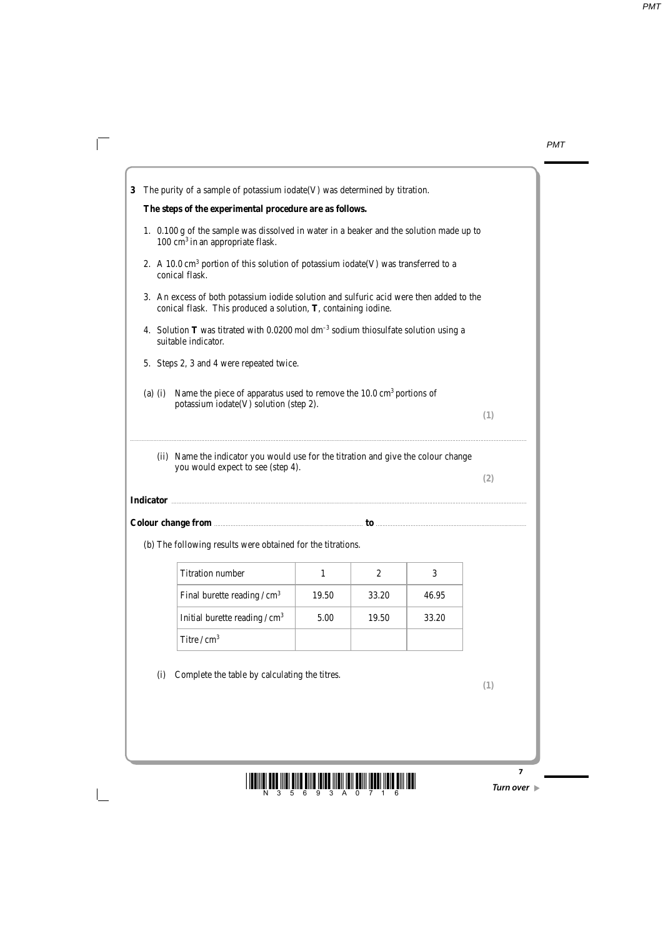| 3 |                     | The purity of a sample of potassium iodate $(V)$ was determined by titration.                                                                             |              |                |                |     |
|---|---------------------|-----------------------------------------------------------------------------------------------------------------------------------------------------------|--------------|----------------|----------------|-----|
|   |                     | The steps of the experimental procedure are as follows.                                                                                                   |              |                |                |     |
|   |                     | 1. 0.100 g of the sample was dissolved in water in a beaker and the solution made up to<br>$100 \text{ cm}^3$ in an appropriate flask.                    |              |                |                |     |
|   | conical flask.      | 2. A 10.0 cm <sup>3</sup> portion of this solution of potassium iodate(V) was transferred to a                                                            |              |                |                |     |
|   |                     | 3. An excess of both potassium iodide solution and sulfuric acid were then added to the<br>conical flask. This produced a solution, T, containing iodine. |              |                |                |     |
|   | suitable indicator. | 4. Solution T was titrated with $0.0200$ mol dm <sup>-3</sup> sodium thiosulfate solution using a                                                         |              |                |                |     |
|   |                     | 5. Steps 2, 3 and 4 were repeated twice.                                                                                                                  |              |                |                |     |
|   | $(a)$ (i)           | Name the piece of apparatus used to remove the $10.0 \text{ cm}^3$ portions of<br>potassium iodate $(V)$ solution (step 2).                               |              |                |                | (1) |
|   |                     | (ii) Name the indicator you would use for the titration and give the colour change<br>you would expect to see (step 4).                                   |              |                |                | (2) |
|   | <b>Indicator</b>    |                                                                                                                                                           |              |                |                |     |
|   |                     |                                                                                                                                                           |              |                |                |     |
|   |                     | (b) The following results were obtained for the titrations.                                                                                               |              |                |                |     |
|   |                     | <b>Titration number</b>                                                                                                                                   | $\mathbf{1}$ | $\overline{2}$ | $\overline{3}$ |     |
|   |                     | Final burette reading $/cm3$                                                                                                                              | 19.50        | 33.20          | 46.95          |     |
|   |                     | Initial burette reading $/cm3$                                                                                                                            | 5.00         | 19.50          | 33.20          |     |
|   | Titre / $cm3$       |                                                                                                                                                           |              |                |                |     |

(i) Complete the table by calculating the titres.

**(1)**

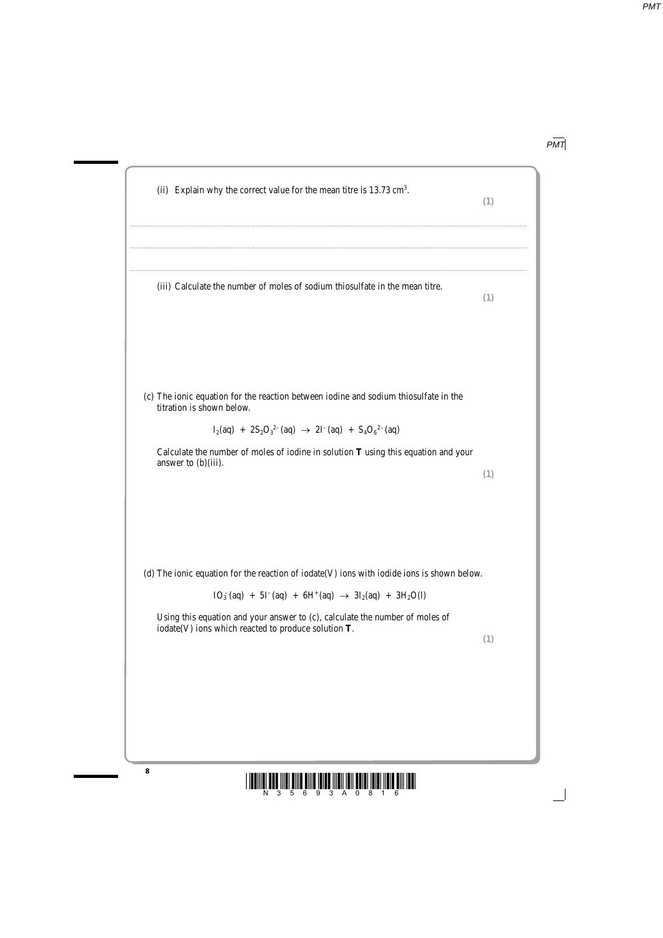

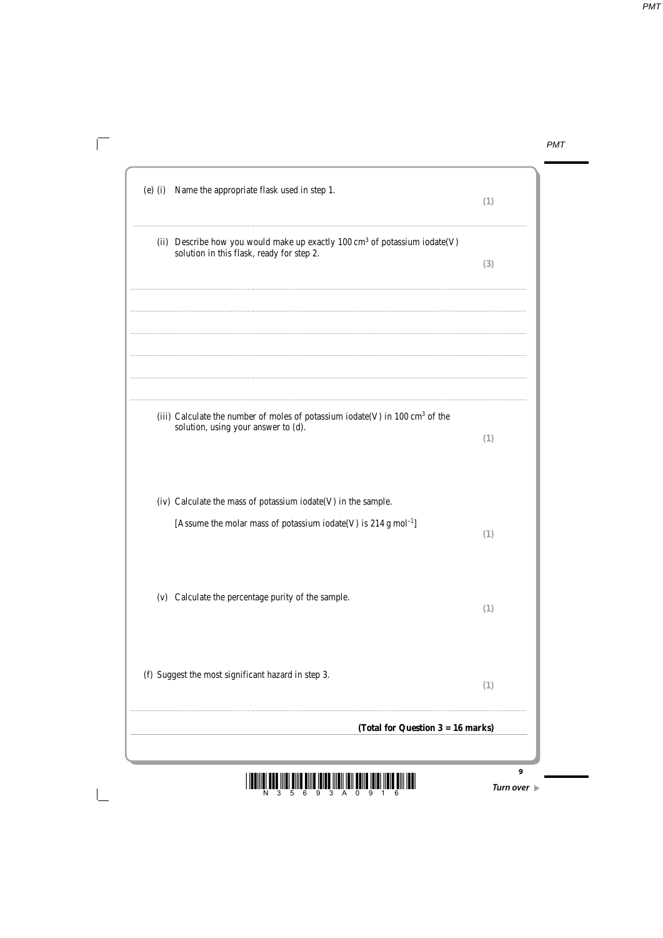**PMT** 

| (e) (i) Name the appropriate flask used in step 1.                                                                                           | (1) |
|----------------------------------------------------------------------------------------------------------------------------------------------|-----|
| (ii) Describe how you would make up exactly $100 \text{ cm}^3$ of potassium iodate(V)<br>solution in this flask, ready for step 2.           | (3) |
|                                                                                                                                              |     |
| (iii) Calculate the number of moles of potassium iodate(V) in $100 \text{ cm}^3$ of the<br>solution, using your answer to (d).               | (1) |
| (iv) Calculate the mass of potassium iodate(V) in the sample.<br>[Assume the molar mass of potassium iodate(V) is $214 \text{ g mol}^{-1}$ ] | (1) |
| (v) Calculate the percentage purity of the sample.                                                                                           | (1) |
| (f) Suggest the most significant hazard in step 3.                                                                                           | (1) |
| (Total for Question $3 = 16$ marks)                                                                                                          |     |

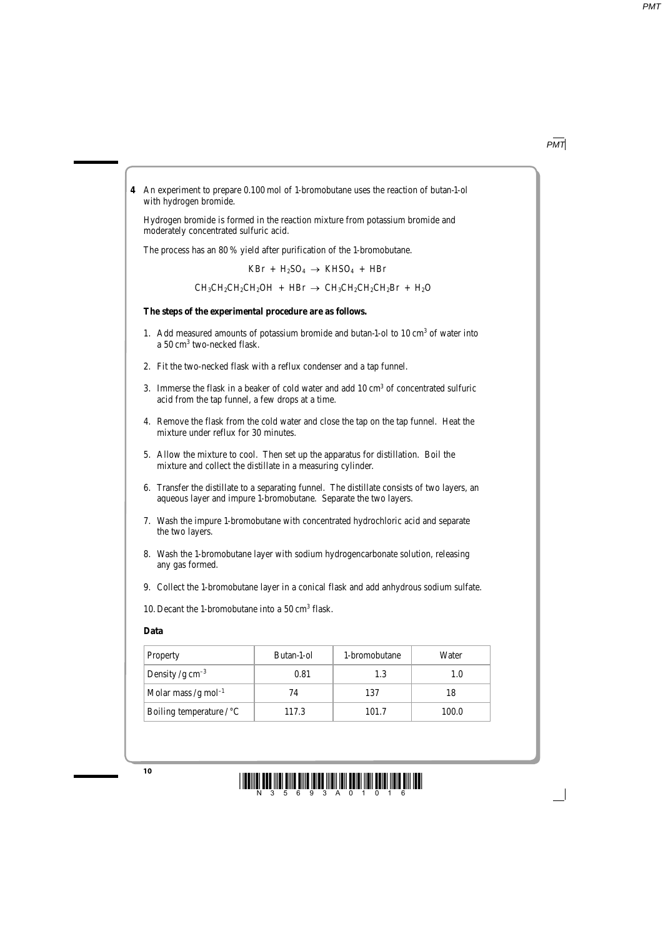**4** An experiment to prepare 0.100 mol of 1-bromobutane uses the reaction of butan-1-ol with hydrogen bromide.

 Hydrogen bromide is formed in the reaction mixture from potassium bromide and moderately concentrated sulfuric acid.

The process has an 80 % yield after purification of the 1-bromobutane.

 $KBr + H_2SO_4 \rightarrow KHSO_4 + HBr$ 

 $CH_3CH_2CH_2CH_2OH + HBr \rightarrow CH_3CH_2CH_2CH_2Br + H_2O$ 

## **The steps of the experimental procedure are as follows.**

- 1. Add measured amounts of potassium bromide and butan-1-ol to  $10 \text{ cm}^3$  of water into a 50 cm<sup>3</sup> two-necked flask.
- 2. Fit the two-necked flask with a reflux condenser and a tap funnel.
- 3. Immerse the flask in a beaker of cold water and add  $10 \text{ cm}^3$  of concentrated sulfuric acid from the tap funnel, a few drops at a time.
	- 4. Remove the flask from the cold water and close the tap on the tap funnel. Heat the mixture under reflux for 30 minutes.
	- 5. Allow the mixture to cool. Then set up the apparatus for distillation. Boil the mixture and collect the distillate in a measuring cylinder.
	- 6. Transfer the distillate to a separating funnel. The distillate consists of two layers, an aqueous layer and impure 1-bromobutane. Separate the two layers.
	- 7. Wash the impure 1-bromobutane with concentrated hydrochloric acid and separate the two layers.
	- 8. Wash the 1-bromobutane layer with sodium hydrogencarbonate solution, releasing any gas formed.
	- 9. Collect the 1-bromobutane layer in a conical flask and add anhydrous sodium sulfate.

10. Decant the 1-bromobutane into a  $50 \text{ cm}^3$  flask.

# **Data**

| Property                            | Butan-1-ol | 1-bromobutane | Water |
|-------------------------------------|------------|---------------|-------|
| Density / $g \text{ cm}^{-3}$       | 0.81       | 1.3           | l.O   |
| Molar mass / g mol <sup>-1</sup>    | 74         | 137           | 18    |
| Boiling temperature $\textdegree$ C | 117.3      | 101.7         | 100.0 |

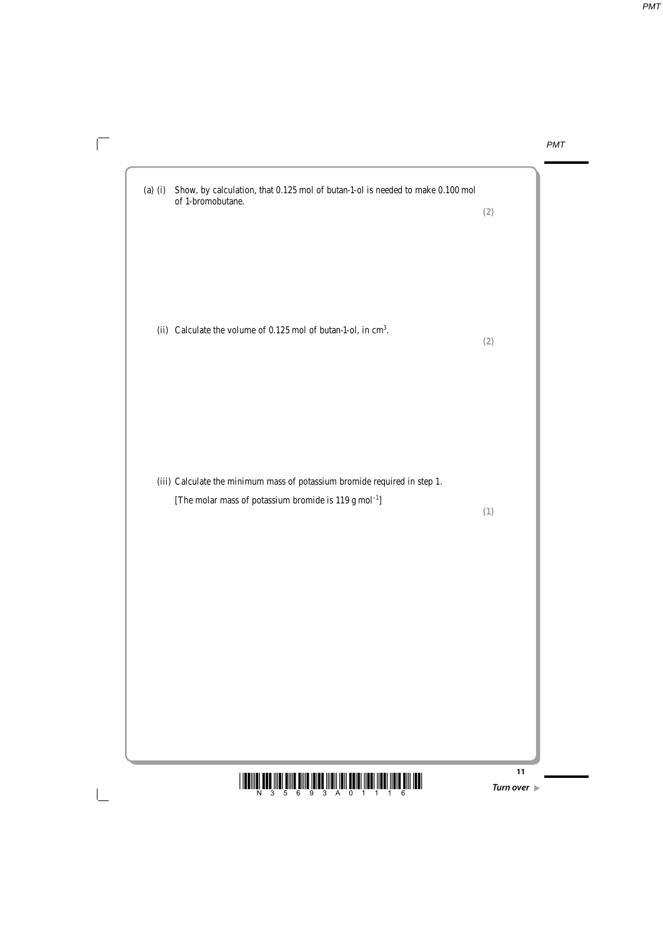(a) (i) Show, by calculation, that 0.125 mol of butan-1-ol is needed to make 0.100 mol of 1-bromobutane.

**(2)**

**(2)**

(ii) Calculate the volume of  $0.125$  mol of butan-1-ol, in cm<sup>3</sup>.

(iii) Calculate the minimum mass of potassium bromide required in step 1.

[The molar mass of potassium bromide is  $119 \text{ g mol}^{-1}$ ]

**(1)**

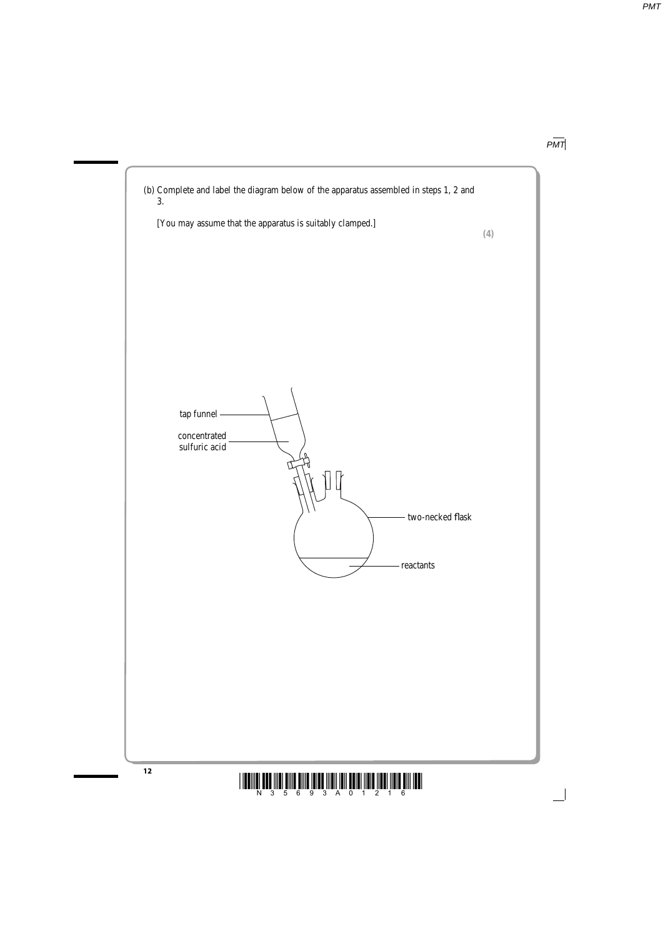| (b) Complete and label the diagram below of the apparatus assembled in steps 1, 2 and<br>3.                                                |     |
|--------------------------------------------------------------------------------------------------------------------------------------------|-----|
| [You may assume that the apparatus is suitably clamped.]<br>tap funnel -<br>concentrated<br>sulfuric acid<br>two-necked flask<br>reactants | (4) |
| 12                                                                                                                                         |     |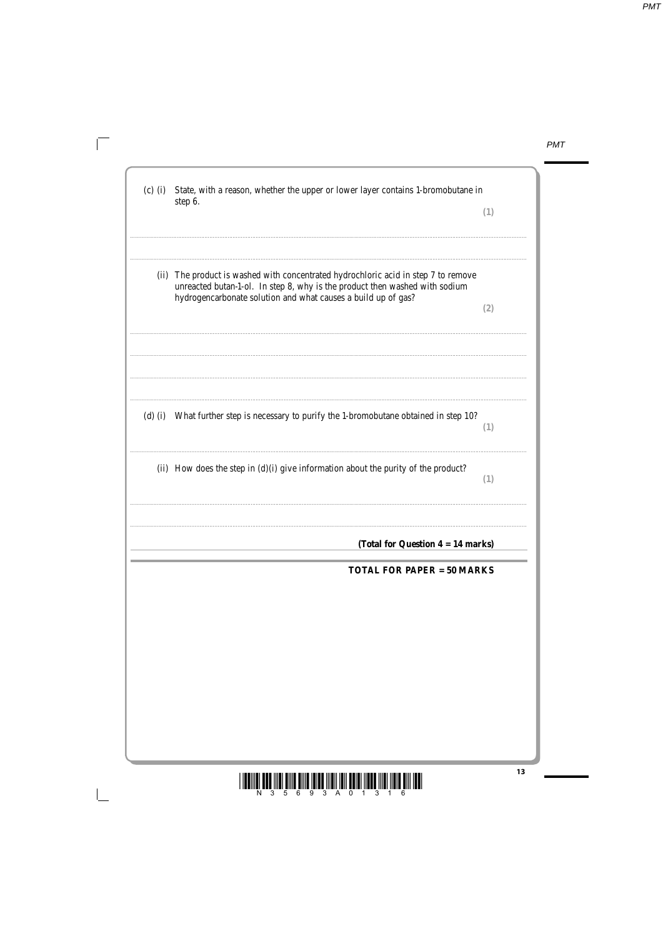| $(c)$ (i) | State, with a reason, whether the upper or lower layer contains 1-bromobutane in<br>step 6.                                                                                                                                        | (1) |
|-----------|------------------------------------------------------------------------------------------------------------------------------------------------------------------------------------------------------------------------------------|-----|
|           | (ii) The product is washed with concentrated hydrochloric acid in step 7 to remove<br>unreacted butan-1-ol. In step 8, why is the product then washed with sodium<br>hydrogencarbonate solution and what causes a build up of gas? | (2) |
|           | (d) (i) What further step is necessary to purify the 1-bromobutane obtained in step 10?                                                                                                                                            | (1) |
|           | (ii) How does the step in $(d)(i)$ give information about the purity of the product?                                                                                                                                               | (1) |
|           | (Total for Question $4 = 14$ marks)                                                                                                                                                                                                |     |
|           | <b>TOTAL FOR PAPER <math>= 50</math> MARKS</b>                                                                                                                                                                                     |     |
|           |                                                                                                                                                                                                                                    |     |
|           |                                                                                                                                                                                                                                    |     |
|           |                                                                                                                                                                                                                                    |     |
|           |                                                                                                                                                                                                                                    |     |

 $\blacksquare$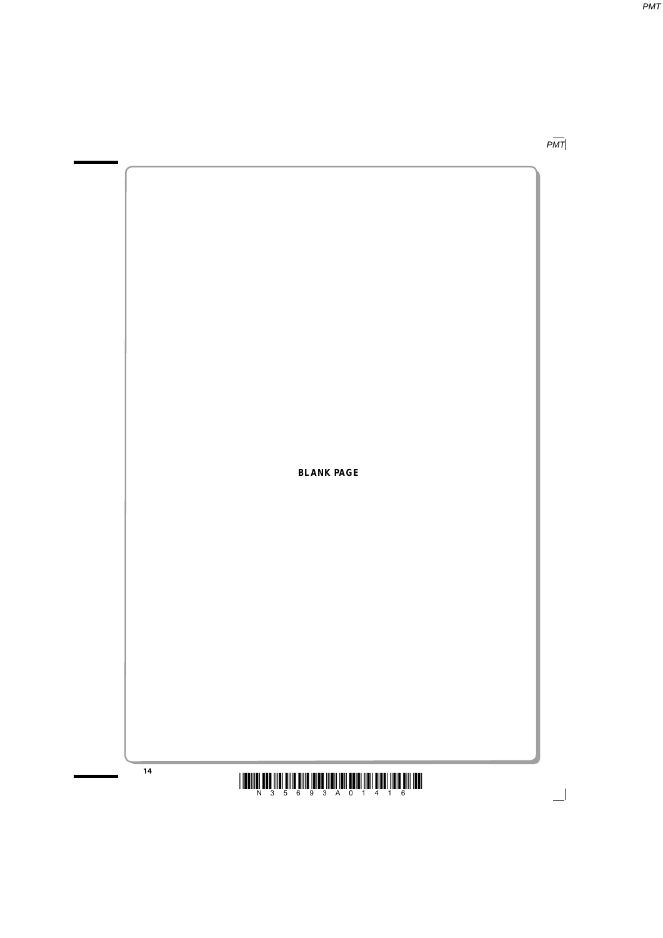**BLANK PAGE** 

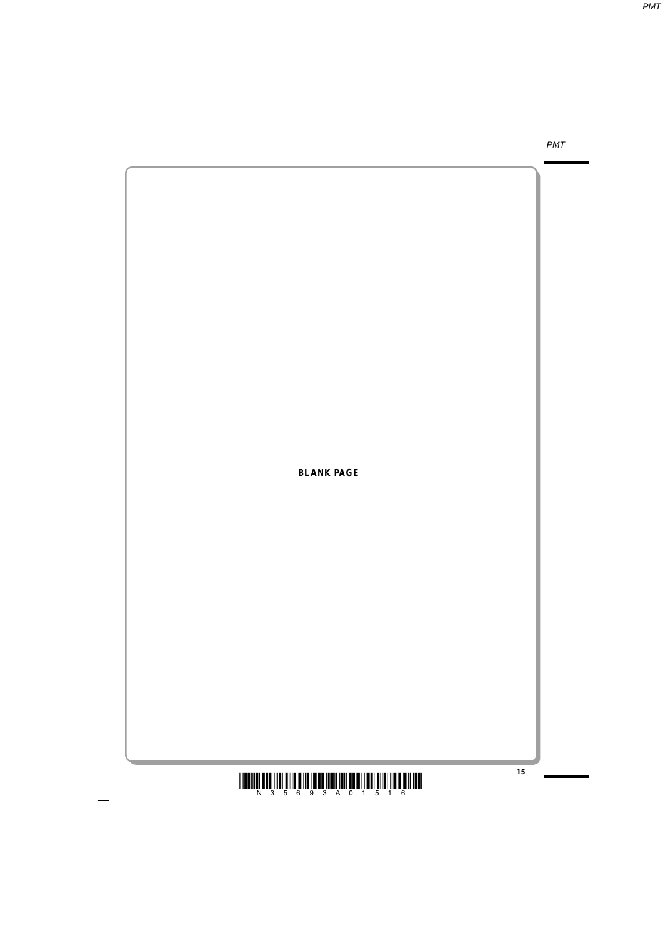**BLANK PAGE**